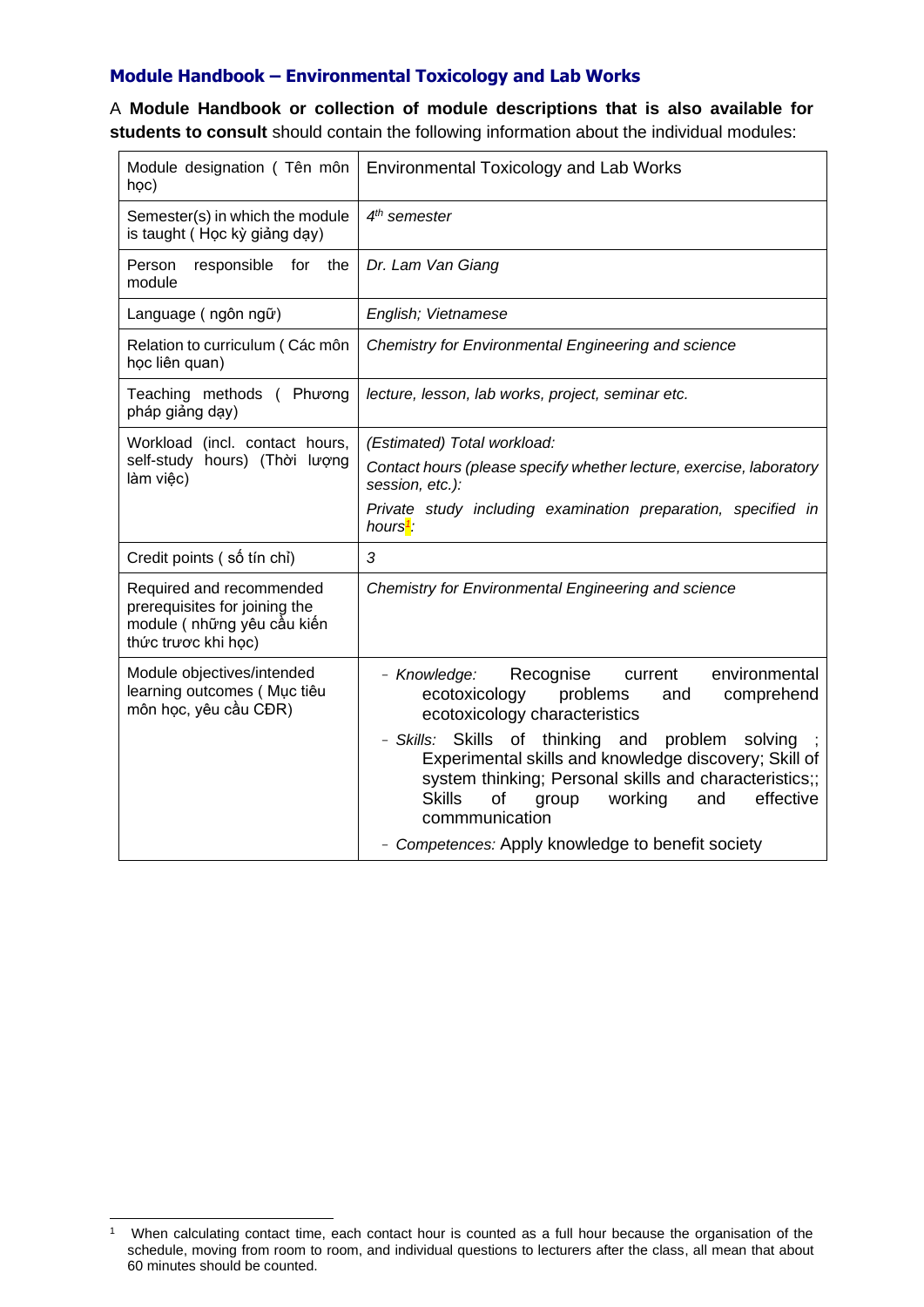## **Module Handbook – Environmental Toxicology and Lab Works**

A **Module Handbook or collection of module descriptions that is also available for students to consult** should contain the following information about the individual modules:

| Module designation (Tên môn<br>học)                                                                             | <b>Environmental Toxicology and Lab Works</b>                                                                                                                                                                                                                                                                                                                                                                                                               |
|-----------------------------------------------------------------------------------------------------------------|-------------------------------------------------------------------------------------------------------------------------------------------------------------------------------------------------------------------------------------------------------------------------------------------------------------------------------------------------------------------------------------------------------------------------------------------------------------|
| Semester(s) in which the module<br>is taught (Học kỳ giảng dạy)                                                 | 4 <sup>th</sup> semester                                                                                                                                                                                                                                                                                                                                                                                                                                    |
| Person<br>responsible for the<br>module                                                                         | Dr. Lam Van Giang                                                                                                                                                                                                                                                                                                                                                                                                                                           |
| Language (ngôn ngữ)                                                                                             | English; Vietnamese                                                                                                                                                                                                                                                                                                                                                                                                                                         |
| Relation to curriculum (Các môn<br>học liên quan)                                                               | Chemistry for Environmental Engineering and science                                                                                                                                                                                                                                                                                                                                                                                                         |
| Teaching methods ( Phương<br>pháp giảng dạy)                                                                    | lecture, lesson, lab works, project, seminar etc.                                                                                                                                                                                                                                                                                                                                                                                                           |
| Workload (incl. contact hours,<br>self-study hours) (Thời lượng<br>làm việc)                                    | (Estimated) Total workload:<br>Contact hours (please specify whether lecture, exercise, laboratory<br>session, etc.):<br>Private study including examination preparation, specified in<br>hours <sup>1</sup> :                                                                                                                                                                                                                                              |
| Credit points (số tín chỉ)                                                                                      | 3                                                                                                                                                                                                                                                                                                                                                                                                                                                           |
| Required and recommended<br>prerequisites for joining the<br>module ( những yêu cầu kiến<br>thức trược khi học) | Chemistry for Environmental Engineering and science                                                                                                                                                                                                                                                                                                                                                                                                         |
| Module objectives/intended<br>learning outcomes (Muc tiêu<br>môn học, yêu cầu CĐR)                              | Recognise<br>environmental<br>- Knowledge:<br>current<br>ecotoxicology<br>problems<br>comprehend<br>and<br>ecotoxicology characteristics<br>- Skills: Skills of thinking and<br>problem<br>solving<br>Experimental skills and knowledge discovery; Skill of<br>system thinking; Personal skills and characteristics;;<br>effective<br><b>Skills</b><br>of<br>group<br>working<br>and<br>commmunication<br>- Competences: Apply knowledge to benefit society |

<sup>1</sup> When calculating contact time, each contact hour is counted as a full hour because the organisation of the schedule, moving from room to room, and individual questions to lecturers after the class, all mean that about 60 minutes should be counted.